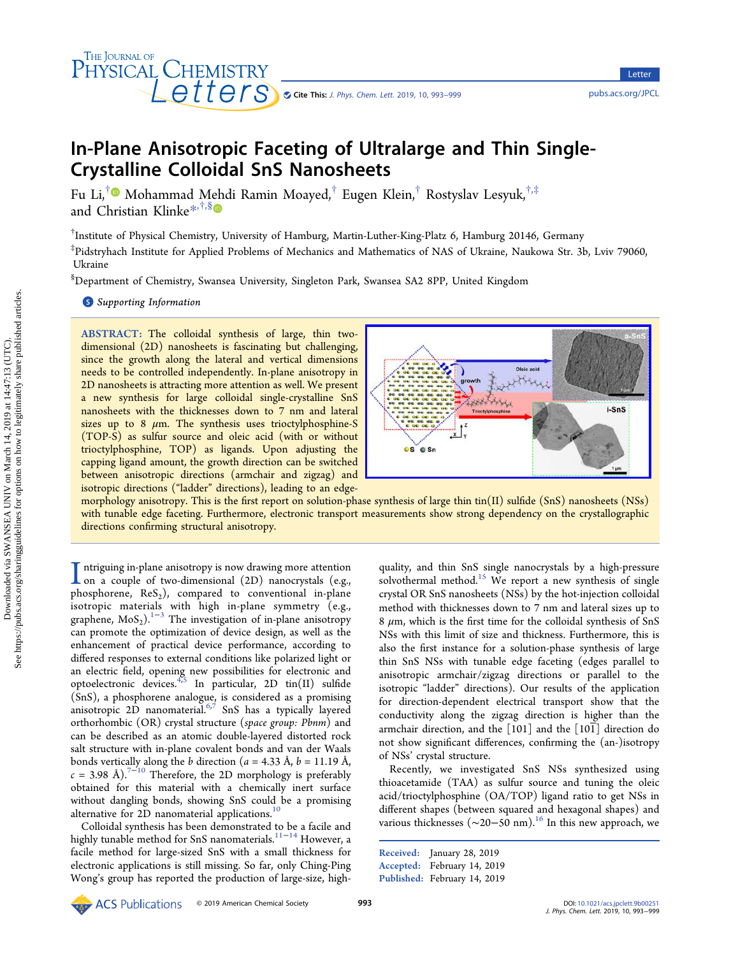# In-Plane Anisotropic Faceting of Ultralarge and Thin Single-Crystalline Colloidal SnS Nanosheets

Fu Li,† Mohammad Mehdi Ramin Moayed,† Eugen Klein,† Rostyslav Lesyuk,†,‡ and Christian Klinke<sup>[\\*](#page-5-0),†,[§](#page-5-0)</sup>

† Institute of Physical Chemistry, University of Hamburg, Martin-Luther-King-Platz 6, Hamburg 20146, Germany

‡ Pidstryhach Institute for Applied Problems of Mechanics and Mathematics of NAS of Ukraine, Naukowa Str. 3b, Lviv 79060, Ukraine

 $^{\$}$ Department of Chemistry, Swansea University, Singleton Park, Swansea SA2 8PP, United Kingdom

# **S** [Supporting Information](#page-5-0)

THE JOURNAL OF

PHYSICAL CHEMISTRY

ABSTRACT: The colloidal synthesis of large, thin twodimensional (2D) nanosheets is fascinating but challenging, since the growth along the lateral and vertical dimensions needs to be controlled independently. In-plane anisotropy in 2D nanosheets is attracting more attention as well. We present a new synthesis for large colloidal single-crystalline SnS nanosheets with the thicknesses down to 7 nm and lateral sizes up to 8  $\mu$ m. The synthesis uses trioctylphosphine-S (TOP-S) as sulfur source and oleic acid (with or without trioctylphosphine, TOP) as ligands. Upon adjusting the capping ligand amount, the growth direction can be switched between anisotropic directions (armchair and zigzag) and isotropic directions ("ladder" directions), leading to an edge-



Cite This: [J. Phys. Chem. Lett.](http://pubs.acs.org/action/showCitFormats?doi=10.1021/acs.jpclett.9b00251) 2019, 10, 993–999 <pubs.acs.org/JPCL>

Letter

Letter

morphology anisotropy. This is the first report on solution-phase synthesis of large thin tin(II) sulfide (SnS) nanosheets (NSs) with tunable edge faceting. Furthermore, electronic transport measurements show strong dependency on the crystallographic directions confirming structural anisotropy.

I ntriguing in-plane anisotropy is now drawing more attention<br>on a couple of two-dimensional (2D) nanocrystals (e.g.,<br>phoenhorenal PoS) compared to conventional in plane phosphorene,  $\text{ReS}_2$ ), compared to conventional in-plane isotropic materials with high in-plane symmetry (e.g., graphene,  $MoS_2$ ).<sup>[1](#page-5-0)−[3](#page-5-0)</sup> The investigation of in-plane anisotropy can promote the optimization of device design, as well as the enhancement of practical device performance, according to differed responses to external conditions like polarized light or an electric field, opening new possibilities for electronic and optoelectronic devices.  $4.5$  $4.5$  In particular, 2D tin(II) sulfide (SnS), a phosphorene analogue, is considered as a promising anisotropic 2D nanomaterial.<sup>[6,7](#page-5-0)</sup> SnS has a typically layered orthorhombic (OR) crystal structure (space group: Pbnm) and can be described as an atomic double-layered distorted rock salt structure with in-plane covalent bonds and van der Waals bonds vertically along the *b* direction ( $a = 4.33 \text{ Å}$ ,  $b = 11.19 \text{ Å}$ ,  $c = 3.98$  Å).<sup>[7](#page-5-0)-[10](#page-5-0)</sup> Therefore, the 2D morphology is preferably obtained for this material with a chemically inert surface without dangling bonds, showing SnS could be a promising alternative for 2D nanomaterial applications.<sup>[10](#page-5-0)</sup>

Colloidal synthesis has been demonstrated to be a facile and highly tunable method for SnS nanomaterials. $^{11-14}$  $^{11-14}$  $^{11-14}$  However, a facile method for large-sized SnS with a small thickness for electronic applications is still missing. So far, only Ching-Ping Wong's group has reported the production of large-size, high-

quality, and thin SnS single nanocrystals by a high-pressure solvothermal method.<sup>[15](#page-5-0)</sup> We report a new synthesis of single crystal OR SnS nanosheets (NSs) by the hot-injection colloidal method with thicknesses down to 7 nm and lateral sizes up to  $8 \mu m$ , which is the first time for the colloidal synthesis of SnS NSs with this limit of size and thickness. Furthermore, this is also the first instance for a solution-phase synthesis of large thin SnS NSs with tunable edge faceting (edges parallel to anisotropic armchair/zigzag directions or parallel to the isotropic "ladder" directions). Our results of the application for direction-dependent electrical transport show that the conductivity along the zigzag direction is higher than the armchair direction, and the [101] and the [101] direction do not show significant differences, confirming the (an-)isotropy of NSs' crystal structure.

Recently, we investigated SnS NSs synthesized using thioacetamide (TAA) as sulfur source and tuning the oleic acid/trioctylphosphine (OA/TOP) ligand ratio to get NSs in different shapes (between squared and hexagonal shapes) and various thicknesses ( $\sim$ 20−50 nm).<sup>[16](#page-6-0)</sup> In this new approach, we

```
Received: January 28, 2019
Accepted: February 14, 2019
Published: February 14, 2019
```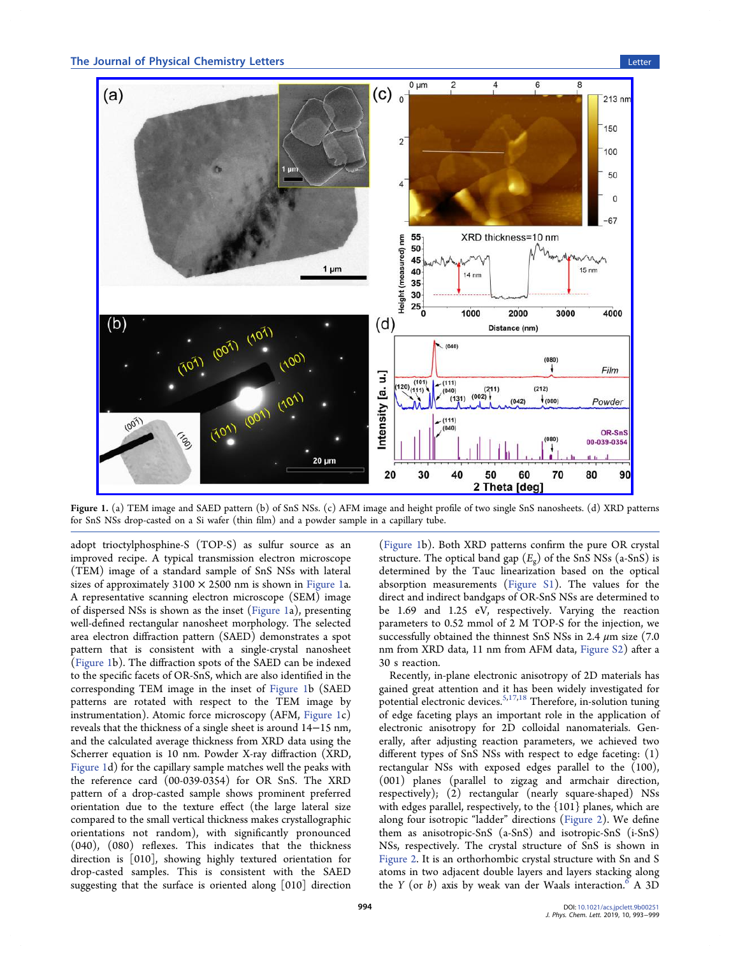# The Journal of Physical Chemistry Letters Letters Letter Letter Letter Letter Letter Letter Letter Letter Letter



Figure 1. (a) TEM image and SAED pattern (b) of SnS NSs. (c) AFM image and height profile of two single SnS nanosheets. (d) XRD patterns for SnS NSs drop-casted on a Si wafer (thin film) and a powder sample in a capillary tube.

adopt trioctylphosphine-S (TOP-S) as sulfur source as an improved recipe. A typical transmission electron microscope (TEM) image of a standard sample of SnS NSs with lateral sizes of approximately  $3100 \times 2500$  nm is shown in Figure 1a. A representative scanning electron microscope (SEM) image of dispersed NSs is shown as the inset (Figure 1a), presenting well-defined rectangular nanosheet morphology. The selected area electron diffraction pattern (SAED) demonstrates a spot pattern that is consistent with a single-crystal nanosheet (Figure 1b). The diffraction spots of the SAED can be indexed to the specific facets of OR-SnS, which are also identified in the corresponding TEM image in the inset of Figure 1b (SAED patterns are rotated with respect to the TEM image by instrumentation). Atomic force microscopy (AFM, Figure 1c) reveals that the thickness of a single sheet is around 14−15 nm, and the calculated average thickness from XRD data using the Scherrer equation is 10 nm. Powder X-ray diffraction (XRD, Figure 1d) for the capillary sample matches well the peaks with the reference card (00-039-0354) for OR SnS. The XRD pattern of a drop-casted sample shows prominent preferred orientation due to the texture effect (the large lateral size compared to the small vertical thickness makes crystallographic orientations not random), with significantly pronounced (040), (080) reflexes. This indicates that the thickness direction is [010], showing highly textured orientation for drop-casted samples. This is consistent with the SAED suggesting that the surface is oriented along [010] direction

(Figure 1b). Both XRD patterns confirm the pure OR crystal structure. The optical band gap  $(E_{\sigma})$  of the SnS NSs (a-SnS) is determined by the Tauc linearization based on the optical absorption measurements [\(Figure S1\)](http://pubs.acs.org/doi/suppl/10.1021/acs.jpclett.9b00251/suppl_file/jz9b00251_si_001.pdf). The values for the direct and indirect bandgaps of OR-SnS NSs are determined to be 1.69 and 1.25 eV, respectively. Varying the reaction parameters to 0.52 mmol of 2 M TOP-S for the injection, we successfully obtained the thinnest SnS NSs in 2.4  $\mu$ m size (7.0) nm from XRD data, 11 nm from AFM data, [Figure S2\)](http://pubs.acs.org/doi/suppl/10.1021/acs.jpclett.9b00251/suppl_file/jz9b00251_si_001.pdf) after a 30 s reaction.

Recently, in-plane electronic anisotropy of 2D materials has gained great attention and it has been widely investigated for potential electronic devices.<sup>5,[17](#page-6-0),[18](#page-6-0)</sup> Therefore, in-solution tuning of edge faceting plays an important role in the application of electronic anisotropy for 2D colloidal nanomaterials. Generally, after adjusting reaction parameters, we achieved two different types of SnS NSs with respect to edge faceting: (1) rectangular NSs with exposed edges parallel to the (100), (001) planes (parallel to zigzag and armchair direction, respectively); (2) rectangular (nearly square-shaped) NSs with edges parallel, respectively, to the {101} planes, which are along four isotropic "ladder" directions [\(Figure 2\)](#page-2-0). We define them as anisotropic-SnS (a-SnS) and isotropic-SnS (i-SnS) NSs, respectively. The crystal structure of SnS is shown in [Figure 2](#page-2-0). It is an orthorhombic crystal structure with Sn and S atoms in two adjacent double layers and layers stacking along the Y (or  $b$ ) axis by weak van der Waals interaction.<sup>6</sup> A 3D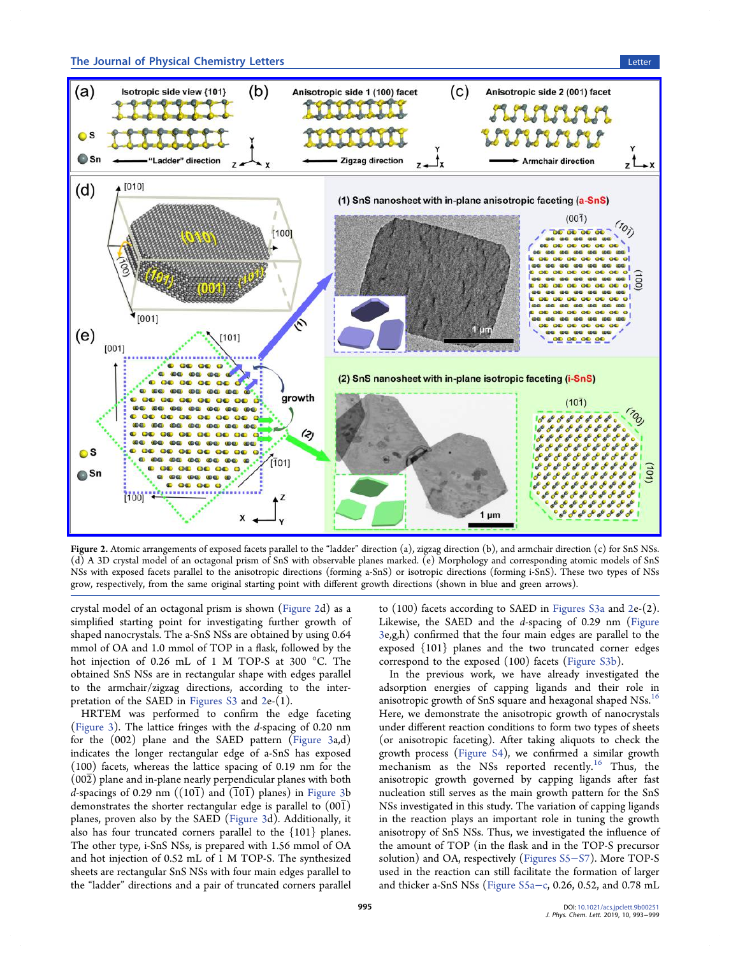<span id="page-2-0"></span>

Figure 2. Atomic arrangements of exposed facets parallel to the "ladder" direction (a), zigzag direction (b), and armchair direction (c) for SnS NSs. (d) A 3D crystal model of an octagonal prism of SnS with observable planes marked. (e) Morphology and corresponding atomic models of SnS NSs with exposed facets parallel to the anisotropic directions (forming a-SnS) or isotropic directions (forming i-SnS). These two types of NSs grow, respectively, from the same original starting point with different growth directions (shown in blue and green arrows).

crystal model of an octagonal prism is shown (Figure 2d) as a simplified starting point for investigating further growth of shaped nanocrystals. The a-SnS NSs are obtained by using 0.64 mmol of OA and 1.0 mmol of TOP in a flask, followed by the hot injection of 0.26 mL of 1 M TOP-S at 300 °C. The obtained SnS NSs are in rectangular shape with edges parallel to the armchair/zigzag directions, according to the interpretation of the SAED in [Figures S3](http://pubs.acs.org/doi/suppl/10.1021/acs.jpclett.9b00251/suppl_file/jz9b00251_si_001.pdf) and 2e-(1).

HRTEM was performed to confirm the edge faceting ([Figure 3](#page-3-0)). The lattice fringes with the d-spacing of 0.20 nm for the (002) plane and the SAED pattern ([Figure 3](#page-3-0)a,d) indicates the longer rectangular edge of a-SnS has exposed (100) facets, whereas the lattice spacing of 0.19 nm for the (002) plane and in-plane nearly perpendicular planes with both d-spacings of 0.29 nm  $((10\overline{1})$  and  $(\overline{101})$  planes) in [Figure 3b](#page-3-0) demonstrates the shorter rectangular edge is parallel to (001) planes, proven also by the SAED [\(Figure 3d](#page-3-0)). Additionally, it also has four truncated corners parallel to the {101} planes. The other type, i-SnS NSs, is prepared with 1.56 mmol of OA and hot injection of 0.52 mL of 1 M TOP-S. The synthesized sheets are rectangular SnS NSs with four main edges parallel to the "ladder" directions and a pair of truncated corners parallel

to (100) facets according to SAED in [Figures S3a](http://pubs.acs.org/doi/suppl/10.1021/acs.jpclett.9b00251/suppl_file/jz9b00251_si_001.pdf) and 2e-(2). Likewise, the SAED and the d-spacing of 0.29 nm [\(Figure](#page-3-0) [3](#page-3-0)e,g,h) confirmed that the four main edges are parallel to the exposed {101} planes and the two truncated corner edges correspond to the exposed (100) facets ([Figure S3b\)](http://pubs.acs.org/doi/suppl/10.1021/acs.jpclett.9b00251/suppl_file/jz9b00251_si_001.pdf).

In the previous work, we have already investigated the adsorption energies of capping ligands and their role in anisotropic growth of SnS square and hexagonal shaped NSs.<sup>[16](#page-6-0)</sup> Here, we demonstrate the anisotropic growth of nanocrystals under different reaction conditions to form two types of sheets (or anisotropic faceting). After taking aliquots to check the growth process [\(Figure S4\)](http://pubs.acs.org/doi/suppl/10.1021/acs.jpclett.9b00251/suppl_file/jz9b00251_si_001.pdf), we confirmed a similar growth mechanism as the NSs reported recently.<sup>[16](#page-6-0)</sup> Thus, the anisotropic growth governed by capping ligands after fast nucleation still serves as the main growth pattern for the SnS NSs investigated in this study. The variation of capping ligands in the reaction plays an important role in tuning the growth anisotropy of SnS NSs. Thus, we investigated the influence of the amount of TOP (in the flask and in the TOP-S precursor solution) and OA, respectively [\(Figures S5](http://pubs.acs.org/doi/suppl/10.1021/acs.jpclett.9b00251/suppl_file/jz9b00251_si_001.pdf)−S7). More TOP-S used in the reaction can still facilitate the formation of larger and thicker a-SnS NSs ([Figure S5a](http://pubs.acs.org/doi/suppl/10.1021/acs.jpclett.9b00251/suppl_file/jz9b00251_si_001.pdf)−c, 0.26, 0.52, and 0.78 mL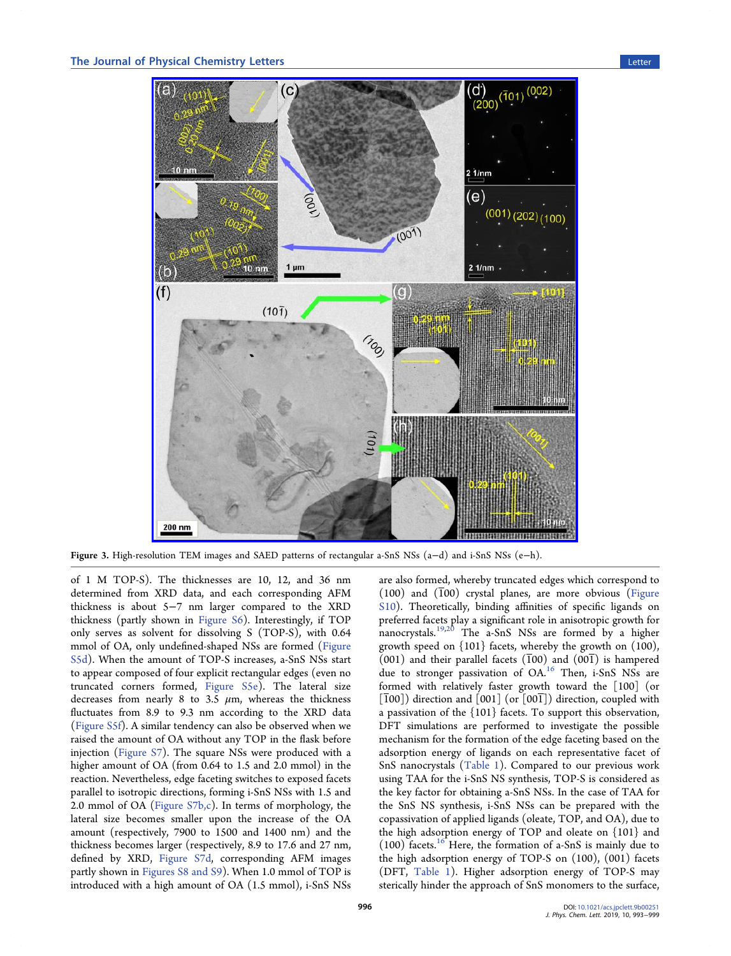<span id="page-3-0"></span>

Figure 3. High-resolution TEM images and SAED patterns of rectangular a-SnS NSs (a−d) and i-SnS NSs (e−h).

of 1 M TOP-S). The thicknesses are 10, 12, and 36 nm determined from XRD data, and each corresponding AFM thickness is about 5−7 nm larger compared to the XRD thickness (partly shown in [Figure S6](http://pubs.acs.org/doi/suppl/10.1021/acs.jpclett.9b00251/suppl_file/jz9b00251_si_001.pdf)). Interestingly, if TOP only serves as solvent for dissolving S (TOP-S), with 0.64 mmol of OA, only undefined-shaped NSs are formed [\(Figure](http://pubs.acs.org/doi/suppl/10.1021/acs.jpclett.9b00251/suppl_file/jz9b00251_si_001.pdf) [S5d](http://pubs.acs.org/doi/suppl/10.1021/acs.jpclett.9b00251/suppl_file/jz9b00251_si_001.pdf)). When the amount of TOP-S increases, a-SnS NSs start to appear composed of four explicit rectangular edges (even no truncated corners formed, [Figure S5e\)](http://pubs.acs.org/doi/suppl/10.1021/acs.jpclett.9b00251/suppl_file/jz9b00251_si_001.pdf). The lateral size decreases from nearly 8 to 3.5  $\mu$ m, whereas the thickness fluctuates from 8.9 to 9.3 nm according to the XRD data ([Figure S5f\)](http://pubs.acs.org/doi/suppl/10.1021/acs.jpclett.9b00251/suppl_file/jz9b00251_si_001.pdf). A similar tendency can also be observed when we raised the amount of OA without any TOP in the flask before injection [\(Figure S7\)](http://pubs.acs.org/doi/suppl/10.1021/acs.jpclett.9b00251/suppl_file/jz9b00251_si_001.pdf). The square NSs were produced with a higher amount of OA (from 0.64 to 1.5 and 2.0 mmol) in the reaction. Nevertheless, edge faceting switches to exposed facets parallel to isotropic directions, forming i-SnS NSs with 1.5 and 2.0 mmol of OA [\(Figure S7b,c\)](http://pubs.acs.org/doi/suppl/10.1021/acs.jpclett.9b00251/suppl_file/jz9b00251_si_001.pdf). In terms of morphology, the lateral size becomes smaller upon the increase of the OA amount (respectively, 7900 to 1500 and 1400 nm) and the thickness becomes larger (respectively, 8.9 to 17.6 and 27 nm, defined by XRD, [Figure S7d,](http://pubs.acs.org/doi/suppl/10.1021/acs.jpclett.9b00251/suppl_file/jz9b00251_si_001.pdf) corresponding AFM images partly shown in [Figures S8 and S9](http://pubs.acs.org/doi/suppl/10.1021/acs.jpclett.9b00251/suppl_file/jz9b00251_si_001.pdf)). When 1.0 mmol of TOP is introduced with a high amount of OA (1.5 mmol), i-SnS NSs

are also formed, whereby truncated edges which correspond to  $(100)$  and  $(100)$  crystal planes, are more obvious [\(Figure](http://pubs.acs.org/doi/suppl/10.1021/acs.jpclett.9b00251/suppl_file/jz9b00251_si_001.pdf) [S10\)](http://pubs.acs.org/doi/suppl/10.1021/acs.jpclett.9b00251/suppl_file/jz9b00251_si_001.pdf). Theoretically, binding affinities of specific ligands on preferred facets play a significant role in anisotropic growth for nanocrystals.[19](#page-6-0),[20](#page-6-0) The a-SnS NSs are formed by a higher growth speed on  $\{101\}$  facets, whereby the growth on  $(100)$ ,  $(001)$  and their parallel facets  $(100)$  and  $(001)$  is hampered due to stronger passivation of OA.<sup>[16](#page-6-0)</sup> Then, i-SnS NSs are formed with relatively faster growth toward the [100] (or  $\left[\overline{1}00\right]$ ) direction and  $\left[001\right]$  (or  $\left[00\overline{1}\right]$ ) direction, coupled with a passivation of the {101} facets. To support this observation, DFT simulations are performed to investigate the possible mechanism for the formation of the edge faceting based on the adsorption energy of ligands on each representative facet of SnS nanocrystals [\(Table 1\)](#page-4-0). Compared to our previous work using TAA for the i-SnS NS synthesis, TOP-S is considered as the key factor for obtaining a-SnS NSs. In the case of TAA for the SnS NS synthesis, i-SnS NSs can be prepared with the copassivation of applied ligands (oleate, TOP, and OA), due to the high adsorption energy of TOP and oleate on {101} and  $(100)$  facets.<sup>[16](#page-6-0)</sup> Here, the formation of a-SnS is mainly due to the high adsorption energy of TOP-S on (100), (001) facets (DFT, [Table 1\)](#page-4-0). Higher adsorption energy of TOP-S may sterically hinder the approach of SnS monomers to the surface,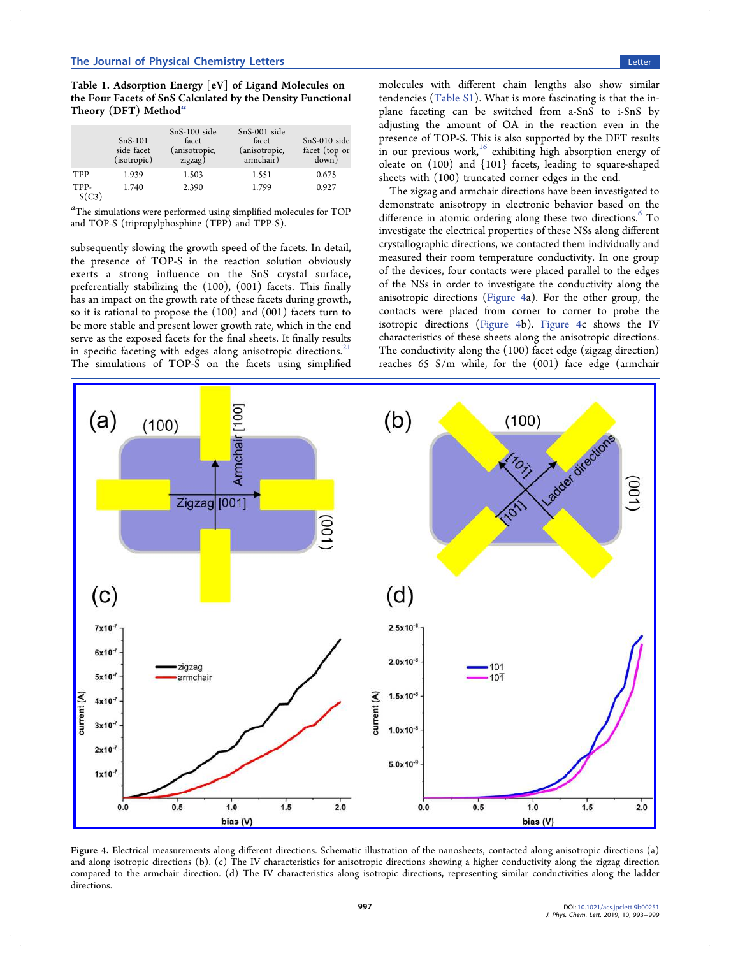<span id="page-4-0"></span>Table 1. Adsorption Energy [eV] of Ligand Molecules on the Four Facets of SnS Calculated by the Density Functional Theory (DFT) Method<sup> $a$ </sup>

|               | $SnS-101$<br>side facet<br>(isotropic) | $SnS-100$ side<br>facet<br>(anisotropic,<br>zigzag) | SnS-001 side<br>facet<br>(anisotropic,<br>armchair) | $SnS-010$ side<br>facet (top or<br>down) |
|---------------|----------------------------------------|-----------------------------------------------------|-----------------------------------------------------|------------------------------------------|
| <b>TPP</b>    | 1.939                                  | 1.503                                               | 1.551                                               | 0.675                                    |
| TPP-<br>S(C3) | 1.740                                  | 2.390                                               | 1.799                                               | 0.927                                    |

a The simulations were performed using simplified molecules for TOP and TOP-S (tripropylphosphine (TPP) and TPP-S).

subsequently slowing the growth speed of the facets. In detail, the presence of TOP-S in the reaction solution obviously exerts a strong influence on the SnS crystal surface, preferentially stabilizing the (100), (001) facets. This finally has an impact on the growth rate of these facets during growth, so it is rational to propose the (100) and (001) facets turn to be more stable and present lower growth rate, which in the end serve as the exposed facets for the final sheets. It finally results in specific faceting with edges along anisotropic directions.<sup>21</sup> The simulations of TOP-S on the facets using simplified molecules with different chain lengths also show similar tendencies ([Table S1](http://pubs.acs.org/doi/suppl/10.1021/acs.jpclett.9b00251/suppl_file/jz9b00251_si_001.pdf)). What is more fascinating is that the inplane faceting can be switched from a-SnS to i-SnS by adjusting the amount of OA in the reaction even in the presence of TOP-S. This is also supported by the DFT results in our previous work, $16$  exhibiting high absorption energy of oleate on (100) and {101} facets, leading to square-shaped sheets with (100) truncated corner edges in the end.

The zigzag and armchair directions have been investigated to demonstrate anisotropy in electronic behavior based on the difference in atomic ordering along these two directions.<sup>6</sup> To investigate the electrical properties of these NSs along different crystallographic directions, we contacted them individually and measured their room temperature conductivity. In one group of the devices, four contacts were placed parallel to the edges of the NSs in order to investigate the conductivity along the anisotropic directions (Figure 4a). For the other group, the contacts were placed from corner to corner to probe the isotropic directions (Figure 4b). Figure 4c shows the IV characteristics of these sheets along the anisotropic directions. The conductivity along the (100) facet edge (zigzag direction) reaches 65 S/m while, for the (001) face edge (armchair

Armchair [100  $(b)$  $(a)$ (100)  $(100)$ Ladder direction  $(00)$ Zigzag  $[001]$  $(001$  $(c)$  $(d)$  $7x10^{-7}$  $2.5x10^{-8}$  $6x10^{-7}$  $2.0x10^{-8}$ zigzag  $101$  $5x10^{-7}$ armchair  $10<sup>1</sup>$ current (A)  $1.5x10^{-8}$ current (A)  $4x10$  $3x10$  $1.0 \times 10^{-8}$  $2x10$  $5.0x10^{-9}$  $1x10^{-7}$  $0.5$  $1.5$  $2.0$  $1.5$  $0.0$  $1.0$  $0.0$  $0.5$  $1.0$  $2.0$ bias (V) bias (V)

Figure 4. Electrical measurements along different directions. Schematic illustration of the nanosheets, contacted along anisotropic directions (a) and along isotropic directions (b). (c) The IV characteristics for anisotropic directions showing a higher conductivity along the zigzag direction compared to the armchair direction. (d) The IV characteristics along isotropic directions, representing similar conductivities along the ladder directions.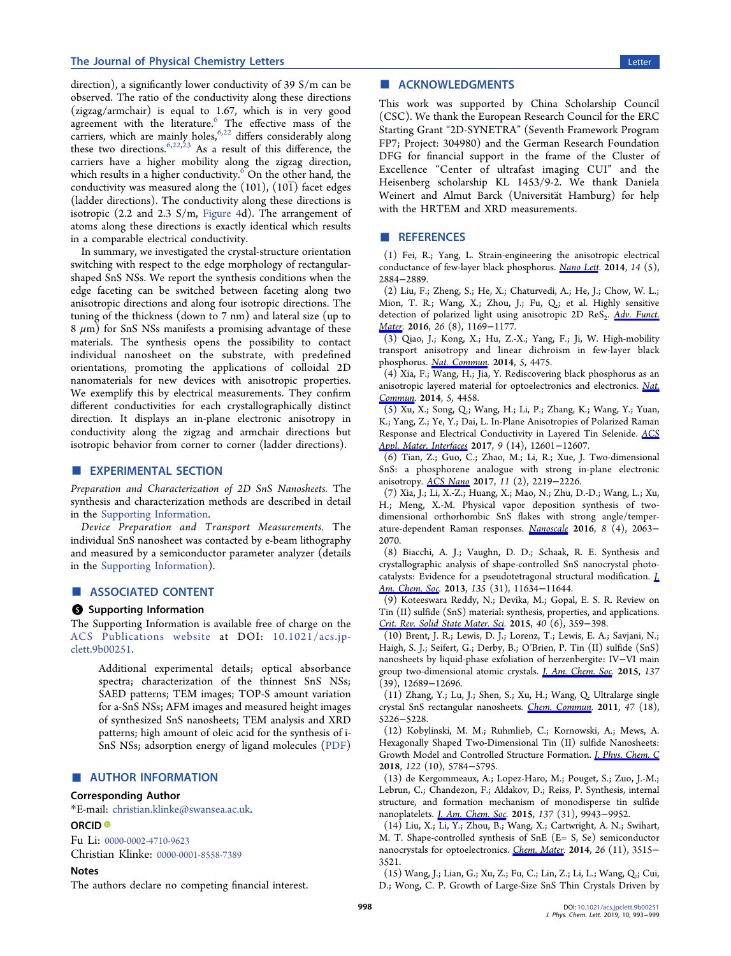# <span id="page-5-0"></span>The Journal of Physical Chemistry Letters Letters Letter Letter Letter Letter Letter Letter Letter Letter Letter

direction), a significantly lower conductivity of 39 S/m can be observed. The ratio of the conductivity along these directions (zigzag/armchair) is equal to 1.67, which is in very good agreement with the literature.<sup>6</sup> The effective mass of the carriers, which are mainly holes,  $6.22$  differs considerably along these two directions.  $6,22,23$  $6,22,23$  As a result of this difference, the carriers have a higher mobility along the zigzag direction, which results in a higher conductivity. $6$  On the other hand, the conductivity was measured along the  $(101)$ ,  $(10\overline{1})$  facet edges (ladder directions). The conductivity along these directions is isotropic (2.2 and 2.3 S/m, [Figure 4d](#page-4-0)). The arrangement of atoms along these directions is exactly identical which results in a comparable electrical conductivity.

In summary, we investigated the crystal-structure orientation switching with respect to the edge morphology of rectangularshaped SnS NSs. We report the synthesis conditions when the edge faceting can be switched between faceting along two anisotropic directions and along four isotropic directions. The tuning of the thickness (down to 7 nm) and lateral size (up to  $8 \mu m$ ) for SnS NSs manifests a promising advantage of these materials. The synthesis opens the possibility to contact individual nanosheet on the substrate, with predefined orientations, promoting the applications of colloidal 2D nanomaterials for new devices with anisotropic properties. We exemplify this by electrical measurements. They confirm different conductivities for each crystallographically distinct direction. It displays an in-plane electronic anisotropy in conductivity along the zigzag and armchair directions but isotropic behavior from corner to corner (ladder directions).

# **EXPERIMENTAL SECTION**

Preparation and Characterization of 2D SnS Nanosheets. The synthesis and characterization methods are described in detail in the [Supporting Information](http://pubs.acs.org/doi/suppl/10.1021/acs.jpclett.9b00251/suppl_file/jz9b00251_si_001.pdf).

Device Preparation and Transport Measurements. The individual SnS nanosheet was contacted by e-beam lithography and measured by a semiconductor parameter analyzer (details in the [Supporting Information](http://pubs.acs.org/doi/suppl/10.1021/acs.jpclett.9b00251/suppl_file/jz9b00251_si_001.pdf)).

#### ■ ASSOCIATED CONTENT

## **S** Supporting Information

The Supporting Information is available free of charge on the [ACS Publications website](http://pubs.acs.org) at DOI: [10.1021/acs.jp](http://pubs.acs.org/doi/abs/10.1021/acs.jpclett.9b00251)[clett.9b00251](http://pubs.acs.org/doi/abs/10.1021/acs.jpclett.9b00251).

Additional experimental details; optical absorbance spectra; characterization of the thinnest SnS NSs; SAED patterns; TEM images; TOP-S amount variation for a-SnS NSs; AFM images and measured height images of synthesized SnS nanosheets; TEM analysis and XRD patterns; high amount of oleic acid for the synthesis of i-SnS NSs; adsorption energy of ligand molecules ([PDF](http://pubs.acs.org/doi/suppl/10.1021/acs.jpclett.9b00251/suppl_file/jz9b00251_si_001.pdf))

# ■ AUTHOR INFORMATION

#### Corresponding Author

\*E-mail: [christian.klinke@swansea.ac.uk](mailto:christian.klinke@swansea.ac.uk).

# ORCID<sup>®</sup>

Fu Li: [0000-0002-4710-9623](http://orcid.org/0000-0002-4710-9623)

Christian Klinke: [0000-0001-8558-7389](http://orcid.org/0000-0001-8558-7389)

# **Notes**

The authors declare no competing financial interest.

# ■ ACKNOWLEDGMENTS

This work was supported by China Scholarship Council (CSC). We thank the European Research Council for the ERC Starting Grant "2D-SYNETRA" (Seventh Framework Program FP7; Project: 304980) and the German Research Foundation DFG for financial support in the frame of the Cluster of Excellence "Center of ultrafast imaging CUI" and the Heisenberg scholarship KL 1453/9-2. We thank Daniela Weinert and Almut Barck (Universität Hamburg) for help with the HRTEM and XRD measurements.

#### ■ REFERENCES

(1) Fei, R.; Yang, L. Strain-engineering the anisotropic electrical conductance of few-layer black phosphorus. [Nano Lett](http://pubs.acs.org/action/showLinks?system=10.1021%2Fnl500935z&coi=1%3ACAS%3A528%3ADC%252BC2cXmvFChurk%253D&citationId=p_n_1_1). 2014, 14 (5), 2884−2889.

(2) Liu, F.; Zheng, S.; He, X.; Chaturvedi, A.; He, J.; Chow, W. L.; Mion, T. R.; Wang, X.; Zhou, J.; Fu, Q.; et al. Highly sensitive detection of polarized light using anisotropic 2D ReS<sub>2</sub>. [Adv. Funct.](http://pubs.acs.org/action/showLinks?crossref=10.1002%2Fadfm.201504546&coi=1%3ACAS%3A528%3ADC%252BC28XislWhtA%253D%253D&citationId=p_n_2_1) [Mater](http://pubs.acs.org/action/showLinks?crossref=10.1002%2Fadfm.201504546&coi=1%3ACAS%3A528%3ADC%252BC28XislWhtA%253D%253D&citationId=p_n_2_1). 2016, 26 (8), 1169−1177.

(3) Qiao, J.; Kong, X.; Hu, Z.-X.; Yang, F.; Ji, W. High-mobility transport anisotropy and linear dichroism in few-layer black phosphorus. [Nat. Commun](http://pubs.acs.org/action/showLinks?pmid=25042376&crossref=10.1038%2Fncomms5475&coi=1%3ACAS%3A528%3ADC%252BC2MXktFentLo%253D&citationId=p_n_3_1). 2014, 5, 4475.

(4) Xia, F.; Wang, H.; Jia, Y. Rediscovering black phosphorus as an anisotropic layered material for optoelectronics and electronics. [Nat.](http://pubs.acs.org/action/showLinks?pmid=25041752&crossref=10.1038%2Fncomms5458&coi=1%3ACAS%3A528%3ADC%252BC2cXitVShsrvI&citationId=p_n_4_1) [Commun.](http://pubs.acs.org/action/showLinks?pmid=25041752&crossref=10.1038%2Fncomms5458&coi=1%3ACAS%3A528%3ADC%252BC2cXitVShsrvI&citationId=p_n_4_1) 2014, 5, 4458.

(5) Xu, X.; Song, Q.; Wang, H.; Li, P.; Zhang, K.; Wang, Y.; Yuan, K.; Yang, Z.; Ye, Y.; Dai, L. In-Plane Anisotropies of Polarized Raman Response and Electrical Conductivity in Layered Tin Selenide. [ACS](http://pubs.acs.org/action/showLinks?system=10.1021%2Facsami.7b00782&coi=1%3ACAS%3A528%3ADC%252BC2sXksVyrsLg%253D&citationId=p_n_5_1) [Appl. Mater. Interfaces](http://pubs.acs.org/action/showLinks?system=10.1021%2Facsami.7b00782&coi=1%3ACAS%3A528%3ADC%252BC2sXksVyrsLg%253D&citationId=p_n_5_1) 2017, 9 (14), 12601−12607.

(6) Tian, Z.; Guo, C.; Zhao, M.; Li, R.; Xue, J. Two-dimensional SnS: a phosphorene analogue with strong in-plane electronic anisotropy. [ACS Nano](http://pubs.acs.org/action/showLinks?system=10.1021%2Facsnano.6b08704&coi=1%3ACAS%3A528%3ADC%252BC2sXht1ylsLo%253D&citationId=p_n_6_1) 2017, 11 (2), 2219−2226.

(7) Xia, J.; Li, X.-Z.; Huang, X.; Mao, N.; Zhu, D.-D.; Wang, L.; Xu, H.; Meng, X.-M. Physical vapor deposition synthesis of twodimensional orthorhombic SnS flakes with strong angle/temperature-dependent Raman responses. [Nanoscale](http://pubs.acs.org/action/showLinks?pmid=26698370&crossref=10.1039%2FC5NR07675G&coi=1%3ACAS%3A528%3ADC%252BC2MXhvFajsrvP&citationId=p_n_7_1) 2016, 8 (4), 2063− 2070.

(8) Biacchi, A. J.; Vaughn, D. D.; Schaak, R. E. Synthesis and crystallographic analysis of shape-controlled SnS nanocrystal photocatalysts: Evidence for a pseudotetragonal structural modification. *L* [Am. Chem. Soc.](http://pubs.acs.org/action/showLinks?system=10.1021%2Fja405203e&coi=1%3ACAS%3A528%3ADC%252BC3sXhtVGlsL3L&citationId=p_n_8_1) 2013, 135 (31), 11634-11644.

(9) Koteeswara Reddy, N.; Devika, M.; Gopal, E. S. R. Review on Tin (II) sulfide (SnS) material: synthesis, properties, and applications. [Crit. Rev. Solid State Mater. Sci.](http://pubs.acs.org/action/showLinks?crossref=10.1080%2F10408436.2015.1053601&coi=1%3ACAS%3A528%3ADC%252BC2MXhsVWmurjO&citationId=p_n_9_1) 2015, 40 (6), 359−398.

(10) Brent, J. R.; Lewis, D. J.; Lorenz, T.; Lewis, E. A.; Savjani, N.; Haigh, S. J.; Seifert, G.; Derby, B.; O'Brien, P. Tin (II) sulfide (SnS) nanosheets by liquid-phase exfoliation of herzenbergite: IV−VI main group two-dimensional atomic crystals. *[J. Am. Chem. Soc.](http://pubs.acs.org/action/showLinks?system=10.1021%2Fjacs.5b08236&coi=1%3ACAS%3A528%3ADC%252BC2MXhsVygs7jO&citationId=p_n_10_1)* 2015, 137 (39), 12689−12696.

(11) Zhang, Y.; Lu, J.; Shen, S.; Xu, H.; Wang, Q. Ultralarge single crystal SnS rectangular nanosheets. [Chem. Commun](http://pubs.acs.org/action/showLinks?pmid=21423977&crossref=10.1039%2Fc0cc05528j&coi=1%3ACAS%3A528%3ADC%252BC3MXkvVKrsbk%253D&citationId=p_n_11_1). 2011, 47 (18), 5226−5228.

(12) Kobylinski, M. M.; Ruhmlieb, C.; Kornowski, A.; Mews, A. Hexagonally Shaped Two-Dimensional Tin (II) sulfide Nanosheets: Growth Model and Controlled Structure Formation. [J. Phys. Chem. C](http://pubs.acs.org/action/showLinks?system=10.1021%2Facs.jpcc.7b12567&coi=1%3ACAS%3A528%3ADC%252BC1cXjtFyktbg%253D&citationId=p_n_12_1) 2018, 122 (10), 5784−5795.

(13) de Kergommeaux, A.; Lopez-Haro, M.; Pouget, S.; Zuo, J.-M.; Lebrun, C.; Chandezon, F.; Aldakov, D.; Reiss, P. Synthesis, internal structure, and formation mechanism of monodisperse tin sulfide nanoplatelets. *[J. Am. Chem. Soc](http://pubs.acs.org/action/showLinks?system=10.1021%2Fjacs.5b05576&coi=1%3ACAS%3A528%3ADC%252BC2MXht1ajsrzJ&citationId=p_n_13_1).* 2015, 137 (31), 9943-9952.

(14) Liu, X.; Li, Y.; Zhou, B.; Wang, X.; Cartwright, A. N.; Swihart, M. T. Shape-controlled synthesis of SnE (E= S, Se) semiconductor nanocrystals for optoelectronics. [Chem. Mater.](http://pubs.acs.org/action/showLinks?system=10.1021%2Fcm501023w&coi=1%3ACAS%3A528%3ADC%252BC2cXns1Cgurk%253D&citationId=p_n_14_1) 2014, 26 (11), 3515− 3521.

(15) Wang, J.; Lian, G.; Xu, Z.; Fu, C.; Lin, Z.; Li, L.; Wang, Q.; Cui, D.; Wong, C. P. Growth of Large-Size SnS Thin Crystals Driven by